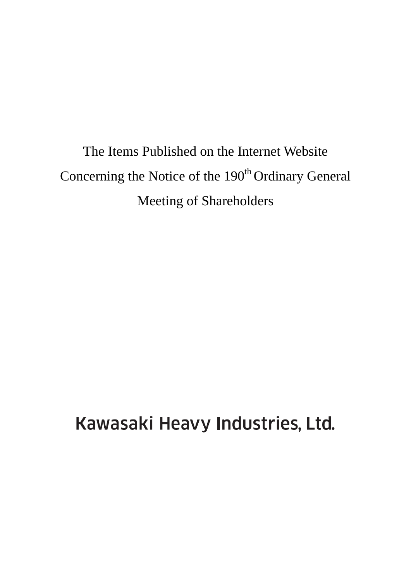The Items Published on the Internet Website Concerning the Notice of the 190<sup>th</sup> Ordinary General Meeting of Shareholders

Kawasaki Heavy Industries, Ltd.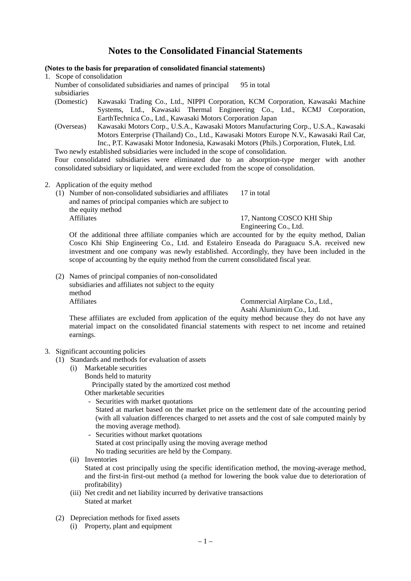# **Notes to the Consolidated Financial Statements**

### **(Notes to the basis for preparation of consolidated financial statements)**

1. Scope of consolidation

Number of consolidated subsidiaries and names of principal subsidiaries 95 in total

- (Domestic) Kawasaki Trading Co., Ltd., NIPPI Corporation, KCM Corporation, Kawasaki Machine Systems, Ltd., Kawasaki Thermal Engineering Co., Ltd., KCMJ Corporation, EarthTechnica Co., Ltd., Kawasaki Motors Corporation Japan
- (Overseas) Kawasaki Motors Corp., U.S.A., Kawasaki Motors Manufacturing Corp., U.S.A., Kawasaki Motors Enterprise (Thailand) Co., Ltd., Kawasaki Motors Europe N.V., Kawasaki Rail Car, Inc., P.T. Kawasaki Motor Indonesia, Kawasaki Motors (Phils.) Corporation, Flutek, Ltd.

Two newly established subsidiaries were included in the scope of consolidation. Four consolidated subsidiaries were eliminated due to an absorption-type merger with another consolidated subsidiary or liquidated, and were excluded from the scope of consolidation.

- 2. Application of the equity method
	- (1) Number of non-consolidated subsidiaries and affiliates and names of principal companies which are subject to the equity method Affiliates 17, Nantong COSCO KHI Ship

Engineering Co., Ltd.

17 in total

Of the additional three affiliate companies which are accounted for by the equity method, Dalian Cosco Khi Ship Engineering Co., Ltd. and Estaleiro Enseada do Paraguacu S.A. received new investment and one company was newly established. Accordingly, they have been included in the scope of accounting by the equity method from the current consolidated fiscal year.

(2) Names of principal companies of non-consolidated subsidiaries and affiliates not subject to the equity method Affiliates **Commercial Airplane Co., Ltd.,** 

Asahi Aluminium Co., Ltd.

These affiliates are excluded from application of the equity method because they do not have any material impact on the consolidated financial statements with respect to net income and retained earnings.

# 3. Significant accounting policies

- (1) Standards and methods for evaluation of assets
	- (i) Marketable securities
		- Bonds held to maturity Principally stated by the amortized cost method
			- Other marketable securities
			- Securities with market quotations Stated at market based on the market price on the settlement date of the accounting period (with all valuation differences charged to net assets and the cost of sale computed mainly by the moving average method).
			- Securities without market quotations Stated at cost principally using the moving average method No trading securities are held by the Company.
	- (ii) Inventories Stated at cost principally using the specific identification method, the moving-average method, and the first-in first-out method (a method for lowering the book value due to deterioration of profitability)
	- (iii) Net credit and net liability incurred by derivative transactions Stated at market
- (2) Depreciation methods for fixed assets
	- (i) Property, plant and equipment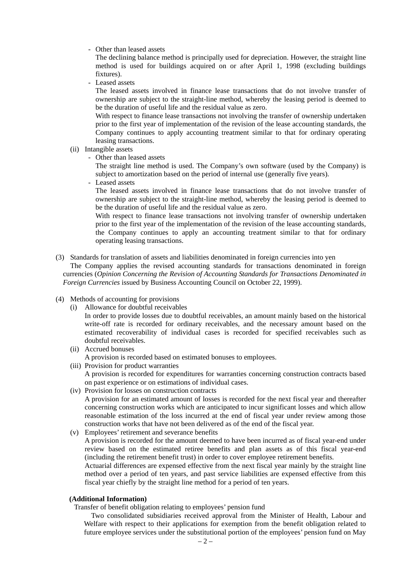#### - Other than leased assets

The declining balance method is principally used for depreciation. However, the straight line method is used for buildings acquired on or after April 1, 1998 (excluding buildings fixtures).

- Leased assets

The leased assets involved in finance lease transactions that do not involve transfer of ownership are subject to the straight-line method, whereby the leasing period is deemed to be the duration of useful life and the residual value as zero.

With respect to finance lease transactions not involving the transfer of ownership undertaken prior to the first year of implementation of the revision of the lease accounting standards, the Company continues to apply accounting treatment similar to that for ordinary operating leasing transactions.

- (ii) Intangible assets
	- Other than leased assets

The straight line method is used. The Company's own software (used by the Company) is subject to amortization based on the period of internal use (generally five years).

- Leased assets

The leased assets involved in finance lease transactions that do not involve transfer of ownership are subject to the straight-line method, whereby the leasing period is deemed to be the duration of useful life and the residual value as zero.

With respect to finance lease transactions not involving transfer of ownership undertaken prior to the first year of the implementation of the revision of the lease accounting standards, the Company continues to apply an accounting treatment similar to that for ordinary operating leasing transactions.

#### (3) Standards for translation of assets and liabilities denominated in foreign currencies into yen

The Company applies the revised accounting standards for transactions denominated in foreign currencies (*Opinion Concerning the Revision of Accounting Standards for Transactions Denominated in Foreign Currencies* issued by Business Accounting Council on October 22, 1999).

- (4) Methods of accounting for provisions
	- (i) Allowance for doubtful receivables In order to provide losses due to doubtful receivables, an amount mainly based on the historical write-off rate is recorded for ordinary receivables, and the necessary amount based on the estimated recoverability of individual cases is recorded for specified receivables such as
	- doubtful receivables. (ii) Accrued bonuses
	- A provision is recorded based on estimated bonuses to employees. (iii) Provision for product warranties A provision is recorded for expenditures for warranties concerning construction contracts based on past experience or on estimations of individual cases.
	- (iv) Provision for losses on construction contracts A provision for an estimated amount of losses is recorded for the next fiscal year and thereafter concerning construction works which are anticipated to incur significant losses and which allow reasonable estimation of the loss incurred at the end of fiscal year under review among those construction works that have not been delivered as of the end of the fiscal year.
	- (v) Employees' retirement and severance benefits

A provision is recorded for the amount deemed to have been incurred as of fiscal year-end under review based on the estimated retiree benefits and plan assets as of this fiscal year-end (including the retirement benefit trust) in order to cover employee retirement benefits.

Actuarial differences are expensed effective from the next fiscal year mainly by the straight line method over a period of ten years, and past service liabilities are expensed effective from this fiscal year chiefly by the straight line method for a period of ten years.

# **(Additional Information)**

Transfer of benefit obligation relating to employees' pension fund

Two consolidated subsidiaries received approval from the Minister of Health, Labour and Welfare with respect to their applications for exemption from the benefit obligation related to future employee services under the substitutional portion of the employees' pension fund on May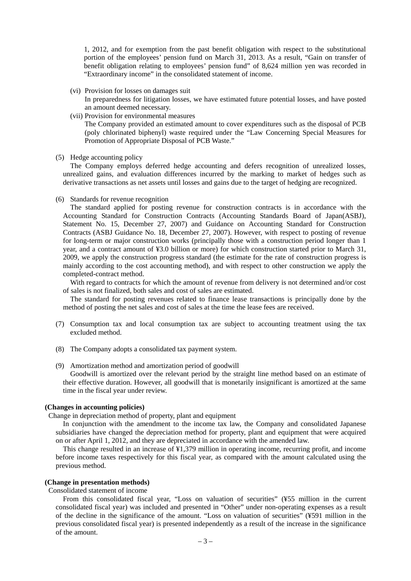1, 2012, and for exemption from the past benefit obligation with respect to the substitutional portion of the employees' pension fund on March 31, 2013. As a result, "Gain on transfer of benefit obligation relating to employees' pension fund" of 8,624 million yen was recorded in "Extraordinary income" in the consolidated statement of income.

(vi) Provision for losses on damages suit

In preparedness for litigation losses, we have estimated future potential losses, and have posted an amount deemed necessary.

- (vii) Provision for environmental measures The Company provided an estimated amount to cover expenditures such as the disposal of PCB (poly chlorinated biphenyl) waste required under the "Law Concerning Special Measures for Promotion of Appropriate Disposal of PCB Waste."
- (5) Hedge accounting policy

The Company employs deferred hedge accounting and defers recognition of unrealized losses, unrealized gains, and evaluation differences incurred by the marking to market of hedges such as derivative transactions as net assets until losses and gains due to the target of hedging are recognized.

(6) Standards for revenue recognition

The standard applied for posting revenue for construction contracts is in accordance with the Accounting Standard for Construction Contracts (Accounting Standards Board of Japan(ASBJ), Statement No. 15, December 27, 2007) and Guidance on Accounting Standard for Construction Contracts (ASBJ Guidance No. 18, December 27, 2007). However, with respect to posting of revenue for long-term or major construction works (principally those with a construction period longer than 1 year, and a contract amount of ¥3.0 billion or more) for which construction started prior to March 31, 2009, we apply the construction progress standard (the estimate for the rate of construction progress is mainly according to the cost accounting method), and with respect to other construction we apply the completed-contract method.

With regard to contracts for which the amount of revenue from delivery is not determined and/or cost of sales is not finalized, both sales and cost of sales are estimated.

The standard for posting revenues related to finance lease transactions is principally done by the method of posting the net sales and cost of sales at the time the lease fees are received.

- (7) Consumption tax and local consumption tax are subject to accounting treatment using the tax excluded method.
- (8) The Company adopts a consolidated tax payment system.
- (9) Amortization method and amortization period of goodwill

Goodwill is amortized over the relevant period by the straight line method based on an estimate of their effective duration. However, all goodwill that is monetarily insignificant is amortized at the same time in the fiscal year under review.

#### **(Changes in accounting policies)**

Change in depreciation method of property, plant and equipment

In conjunction with the amendment to the income tax law, the Company and consolidated Japanese subsidiaries have changed the depreciation method for property, plant and equipment that were acquired on or after April 1, 2012, and they are depreciated in accordance with the amended law.

This change resulted in an increase of ¥1,379 million in operating income, recurring profit, and income before income taxes respectively for this fiscal year, as compared with the amount calculated using the previous method.

#### **(Change in presentation methods)**

Consolidated statement of income

From this consolidated fiscal year, "Loss on valuation of securities" (¥55 million in the current consolidated fiscal year) was included and presented in "Other" under non-operating expenses as a result of the decline in the significance of the amount. "Loss on valuation of securities" (¥591 million in the previous consolidated fiscal year) is presented independently as a result of the increase in the significance of the amount.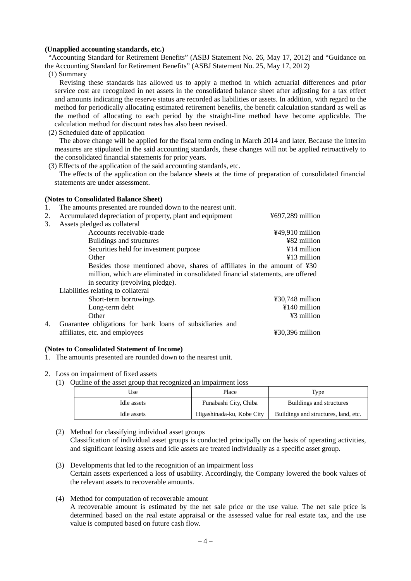#### **(Unapplied accounting standards, etc.)**

"Accounting Standard for Retirement Benefits" (ASBJ Statement No. 26, May 17, 2012) and "Guidance on the Accounting Standard for Retirement Benefits" (ASBJ Statement No. 25, May 17, 2012)

(1) Summary

Revising these standards has allowed us to apply a method in which actuarial differences and prior service cost are recognized in net assets in the consolidated balance sheet after adjusting for a tax effect and amounts indicating the reserve status are recorded as liabilities or assets. In addition, with regard to the method for periodically allocating estimated retirement benefits, the benefit calculation standard as well as the method of allocating to each period by the straight-line method have become applicable. The calculation method for discount rates has also been revised.

(2) Scheduled date of application

The above change will be applied for the fiscal term ending in March 2014 and later. Because the interim measures are stipulated in the said accounting standards, these changes will not be applied retroactively to the consolidated financial statements for prior years.

(3) Effects of the application of the said accounting standards, etc.

The effects of the application on the balance sheets at the time of preparation of consolidated financial statements are under assessment.

#### **(Notes to Consolidated Balance Sheet)**

1. The amounts presented are rounded down to the nearest unit.

| 2. | Accumulated depreciation of property, plant and equipment                       | $\text{\#}697,289$ million           |
|----|---------------------------------------------------------------------------------|--------------------------------------|
| 3. | Assets pledged as collateral                                                    |                                      |
|    | Accounts receivable-trade                                                       | ¥49,910 million                      |
|    | Buildings and structures                                                        | ¥82 million                          |
|    | Securities held for investment purpose                                          | $¥14$ million                        |
|    | Other                                                                           | $\angle 13$ million                  |
|    | Besides those mentioned above, shares of affiliates in the amount of ¥30        |                                      |
|    | million, which are eliminated in consolidated financial statements, are offered |                                      |
|    | in security (revolving pledge).                                                 |                                      |
|    | Liabilities relating to collateral                                              |                                      |
|    | Short-term borrowings                                                           | $430,748$ million                    |
|    | Long-term debt                                                                  | $\text{\#}140$ million               |
|    | Other                                                                           | ¥3 million                           |
| 4. | Guarantee obligations for bank loans of subsidiaries and                        |                                      |
|    | affiliates, etc. and employees                                                  | $\text{\textsterling}30,396$ million |

#### **(Notes to Consolidated Statement of Income)**

1. The amounts presented are rounded down to the nearest unit.

#### 2. Loss on impairment of fixed assets

(1) Outline of the asset group that recognized an impairment loss

| Jse.        | Place                     | Type                                 |
|-------------|---------------------------|--------------------------------------|
| Idle assets | Funabashi City, Chiba     | Buildings and structures             |
| Idle assets | Higashinada-ku, Kobe City | Buildings and structures, land, etc. |

(2) Method for classifying individual asset groups Classification of individual asset groups is conducted principally on the basis of operating activities, and significant leasing assets and idle assets are treated individually as a specific asset group.

- (3) Developments that led to the recognition of an impairment loss Certain assets experienced a loss of usability. Accordingly, the Company lowered the book values of the relevant assets to recoverable amounts.
- (4) Method for computation of recoverable amount A recoverable amount is estimated by the net sale price or the use value. The net sale price is determined based on the real estate appraisal or the assessed value for real estate tax, and the use value is computed based on future cash flow.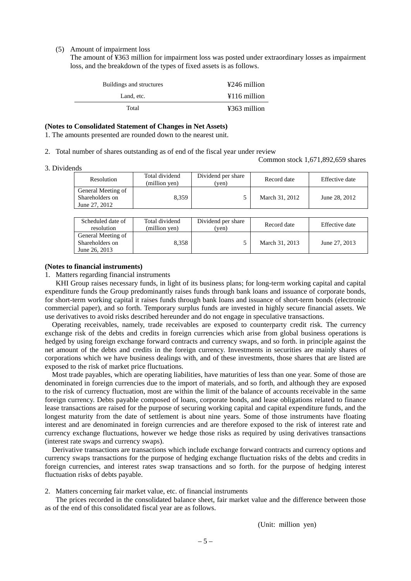#### (5) Amount of impairment loss

The amount of ¥363 million for impairment loss was posted under extraordinary losses as impairment loss, and the breakdown of the types of fixed assets is as follows.

| Buildings and structures | ¥246 million                              |
|--------------------------|-------------------------------------------|
| Land, etc.               | $\text{\textsterling}116 \text{ million}$ |
| Total                    | ¥363 million                              |

#### **(Notes to Consolidated Statement of Changes in Net Assets)**

1. The amounts presented are rounded down to the nearest unit.

2. Total number of shares outstanding as of end of the fiscal year under review

Common stock 1,671,892,659 shares

3. Dividends

| Resolution                                             | Total dividend<br>(million yen) | Dividend per share<br>(ven) | Record date    | Effective date |
|--------------------------------------------------------|---------------------------------|-----------------------------|----------------|----------------|
| General Meeting of<br>Shareholders on<br>June 27, 2012 | 8.359                           |                             | March 31, 2012 | June 28, 2012  |
|                                                        |                                 |                             |                |                |

| Scheduled date of<br>resolution                        | Total dividend<br>(million yen) | Dividend per share<br>'yen) | Record date    | Effective date |
|--------------------------------------------------------|---------------------------------|-----------------------------|----------------|----------------|
| General Meeting of<br>Shareholders on<br>June 26, 2013 | 8.358                           |                             | March 31, 2013 | June 27, 2013  |

#### **(Notes to financial instruments)**

1. Matters regarding financial instruments

KHI Group raises necessary funds, in light of its business plans; for long-term working capital and capital expenditure funds the Group predominantly raises funds through bank loans and issuance of corporate bonds, for short-term working capital it raises funds through bank loans and issuance of short-term bonds (electronic commercial paper), and so forth. Temporary surplus funds are invested in highly secure financial assets. We use derivatives to avoid risks described hereunder and do not engage in speculative transactions.

Operating receivables, namely, trade receivables are exposed to counterparty credit risk. The currency exchange risk of the debts and credits in foreign currencies which arise from global business operations is hedged by using foreign exchange forward contracts and currency swaps, and so forth. in principle against the net amount of the debts and credits in the foreign currency. Investments in securities are mainly shares of corporations which we have business dealings with, and of these investments, those shares that are listed are exposed to the risk of market price fluctuations.

Most trade payables, which are operating liabilities, have maturities of less than one year. Some of those are denominated in foreign currencies due to the import of materials, and so forth, and although they are exposed to the risk of currency fluctuation, most are within the limit of the balance of accounts receivable in the same foreign currency. Debts payable composed of loans, corporate bonds, and lease obligations related to finance lease transactions are raised for the purpose of securing working capital and capital expenditure funds, and the longest maturity from the date of settlement is about nine years. Some of those instruments have floating interest and are denominated in foreign currencies and are therefore exposed to the risk of interest rate and currency exchange fluctuations, however we hedge those risks as required by using derivatives transactions (interest rate swaps and currency swaps).

Derivative transactions are transactions which include exchange forward contracts and currency options and currency swaps transactions for the purpose of hedging exchange fluctuation risks of the debts and credits in foreign currencies, and interest rates swap transactions and so forth. for the purpose of hedging interest fluctuation risks of debts payable.

2. Matters concerning fair market value, etc. of financial instruments

The prices recorded in the consolidated balance sheet, fair market value and the difference between those as of the end of this consolidated fiscal year are as follows.

(Unit: million yen)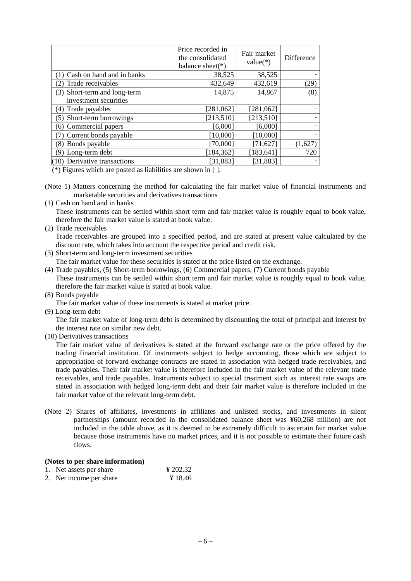|                              | Price recorded in<br>the consolidated<br>balance sheet( $*$ ) | Fair market<br>$value(*)$ | Difference |
|------------------------------|---------------------------------------------------------------|---------------------------|------------|
| Cash on hand and in banks    | 38,525                                                        | 38,525                    |            |
| Trade receivables<br>2)      | 432,649                                                       | 432,619                   | (29)       |
| (3) Short-term and long-term | 14,875                                                        | 14,867                    | (8)        |
| investment securities        |                                                               |                           |            |
| (4) Trade payables           | [281,062]                                                     | [281,062]                 |            |
| Short-term borrowings<br>(5) | [213,510]                                                     | [213, 510]                |            |
| (6) Commercial papers        | [6,000]                                                       | [6,000]                   |            |
| Current bonds payable        | [10,000]                                                      | [10,000]                  |            |
| (8) Bonds payable            | [70,000]                                                      | [71, 627]                 | (1,627)    |
| (9) Long-term debt           | [184, 362]                                                    | [183, 641]                | 720        |
| (10) Derivative transactions | [31, 883]                                                     | [31, 883]                 |            |

(\*) Figures which are posted as liabilities are shown in [ ].

(Note 1) Matters concerning the method for calculating the fair market value of financial instruments and marketable securities and derivatives transactions

(1) Cash on hand and in banks

These instruments can be settled within short term and fair market value is roughly equal to book value, therefore the fair market value is stated at book value.

(2) Trade receivables

Trade receivables are grouped into a specified period, and are stated at present value calculated by the discount rate, which takes into account the respective period and credit risk.

- (3) Short-term and long-term investment securities
	- The fair market value for these securities is stated at the price listed on the exchange.
- (4) Trade payables, (5) Short-term borrowings, (6) Commercial papers, (7) Current bonds payable These instruments can be settled within short term and fair market value is roughly equal to book value, therefore the fair market value is stated at book value.
- (8) Bonds payable

The fair market value of these instruments is stated at market price.

(9) Long-term debt

The fair market value of long-term debt is determined by discounting the total of principal and interest by the interest rate on similar new debt.

(10) Derivatives transactions

The fair market value of derivatives is stated at the forward exchange rate or the price offered by the trading financial institution. Of instruments subject to hedge accounting, those which are subject to appropriation of forward exchange contracts are stated in association with hedged trade receivables, and trade payables. Their fair market value is therefore included in the fair market value of the relevant trade receivables, and trade payables. Instruments subject to special treatment such as interest rate swaps are stated in association with hedged long-term debt and their fair market value is therefore included in the fair market value of the relevant long-term debt.

(Note 2) Shares of affiliates, investments in affiliates and unlisted stocks, and investments in silent partnerships (amount recorded in the consolidated balance sheet was ¥60,268 million) are not included in the table above, as it is deemed to be extremely difficult to ascertain fair market value because those instruments have no market prices, and it is not possible to estimate their future cash flows.

### **(Notes to per share information)**

| 1. Net assets per share | ¥ 202.32 |
|-------------------------|----------|
| 2. Net income per share | ¥ 18.46  |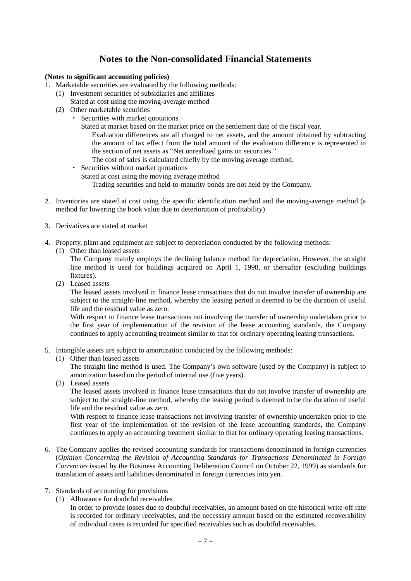# **Notes to the Non-consolidated Financial Statements**

## **(Notes to significant accounting policies)**

- 1. Marketable securities are evaluated by the following methods:
	- (1) Investment securities of subsidiaries and affiliates
		- Stated at cost using the moving-average method
	- (2) Other marketable securities
		- ・ Securities with market quotations
			- Stated at market based on the market price on the settlement date of the fiscal year.
				- Evaluation differences are all charged to net assets, and the amount obtained by subtracting the amount of tax effect from the total amount of the evaluation difference is represented in the section of net assets as "Net unrealized gains on securities."
			- The cost of sales is calculated chiefly by the moving average method.
			- ・ Securities without market quotations Stated at cost using the moving average method Trading securities and held-to-maturity bonds are not held by the Company.
- 2. Inventories are stated at cost using the specific identification method and the moving-average method (a method for lowering the book value due to deterioration of profitability)
- 3. Derivatives are stated at market
- 4. Property, plant and equipment are subject to depreciation conducted by the following methods:
	- (1) Other than leased assets

The Company mainly employs the declining balance method for depreciation. However, the straight line method is used for buildings acquired on April 1, 1998, or thereafter (excluding buildings fixtures).

(2) Leased assets

The leased assets involved in finance lease transactions that do not involve transfer of ownership are subject to the straight-line method, whereby the leasing period is deemed to be the duration of useful life and the residual value as zero.

With respect to finance lease transactions not involving the transfer of ownership undertaken prior to the first year of implementation of the revision of the lease accounting standards, the Company continues to apply accounting treatment similar to that for ordinary operating leasing transactions.

- 5. Intangible assets are subject to amortization conducted by the following methods:
	- (1) Other than leased assets

The straight line method is used. The Company's own software (used by the Company) is subject to amortization based on the period of internal use (five years).

(2) Leased assets

The leased assets involved in finance lease transactions that do not involve transfer of ownership are subject to the straight-line method, whereby the leasing period is deemed to be the duration of useful life and the residual value as zero.

With respect to finance lease transactions not involving transfer of ownership undertaken prior to the first year of the implementation of the revision of the lease accounting standards, the Company continues to apply an accounting treatment similar to that for ordinary operating leasing transactions.

- 6. The Company applies the revised accounting standards for transactions denominated in foreign currencies (*Opinion Concerning the Revision of Accounting Standards for Transactions Denominated in Foreign Currencies* issued by the Business Accounting Deliberation Council on October 22, 1999) as standards for translation of assets and liabilities denominated in foreign currencies into yen.
- 7. Standards of accounting for provisions
	- (1) Allowance for doubtful receivables
		- In order to provide losses due to doubtful receivables, an amount based on the historical write-off rate is recorded for ordinary receivables, and the necessary amount based on the estimated recoverability of individual cases is recorded for specified receivables such as doubtful receivables.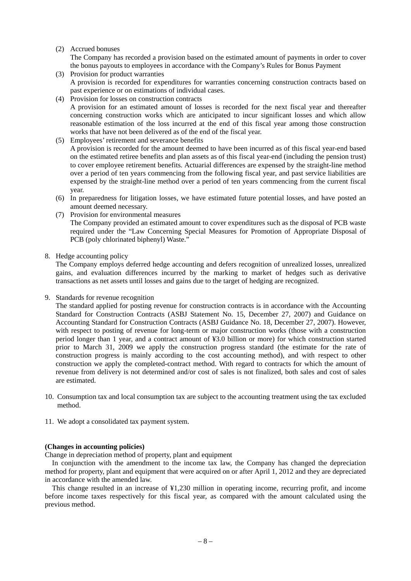#### (2) Accrued bonuses

The Company has recorded a provision based on the estimated amount of payments in order to cover the bonus payouts to employees in accordance with the Company's Rules for Bonus Payment

- (3) Provision for product warranties A provision is recorded for expenditures for warranties concerning construction contracts based on past experience or on estimations of individual cases.
- (4) Provision for losses on construction contracts A provision for an estimated amount of losses is recorded for the next fiscal year and thereafter concerning construction works which are anticipated to incur significant losses and which allow reasonable estimation of the loss incurred at the end of this fiscal year among those construction works that have not been delivered as of the end of the fiscal year.
- (5) Employees' retirement and severance benefits A provision is recorded for the amount deemed to have been incurred as of this fiscal year-end based on the estimated retiree benefits and plan assets as of this fiscal year-end (including the pension trust) to cover employee retirement benefits. Actuarial differences are expensed by the straight-line method over a period of ten years commencing from the following fiscal year, and past service liabilities are expensed by the straight-line method over a period of ten years commencing from the current fiscal year.
- (6) In preparedness for litigation losses, we have estimated future potential losses, and have posted an amount deemed necessary.
- (7) Provision for environmental measures The Company provided an estimated amount to cover expenditures such as the disposal of PCB waste required under the "Law Concerning Special Measures for Promotion of Appropriate Disposal of PCB (poly chlorinated biphenyl) Waste."

## 8. Hedge accounting policy

The Company employs deferred hedge accounting and defers recognition of unrealized losses, unrealized gains, and evaluation differences incurred by the marking to market of hedges such as derivative transactions as net assets until losses and gains due to the target of hedging are recognized.

9. Standards for revenue recognition

The standard applied for posting revenue for construction contracts is in accordance with the Accounting Standard for Construction Contracts (ASBJ Statement No. 15, December 27, 2007) and Guidance on Accounting Standard for Construction Contracts (ASBJ Guidance No. 18, December 27, 2007). However, with respect to posting of revenue for long-term or major construction works (those with a construction period longer than 1 year, and a contract amount of ¥3.0 billion or more) for which construction started prior to March 31, 2009 we apply the construction progress standard (the estimate for the rate of construction progress is mainly according to the cost accounting method), and with respect to other construction we apply the completed-contract method. With regard to contracts for which the amount of revenue from delivery is not determined and/or cost of sales is not finalized, both sales and cost of sales are estimated.

- 10. Consumption tax and local consumption tax are subject to the accounting treatment using the tax excluded method.
- 11. We adopt a consolidated tax payment system.

# **(Changes in accounting policies)**

Change in depreciation method of property, plant and equipment

In conjunction with the amendment to the income tax law, the Company has changed the depreciation method for property, plant and equipment that were acquired on or after April 1, 2012 and they are depreciated in accordance with the amended law.

This change resulted in an increase of ¥1,230 million in operating income, recurring profit, and income before income taxes respectively for this fiscal year, as compared with the amount calculated using the previous method.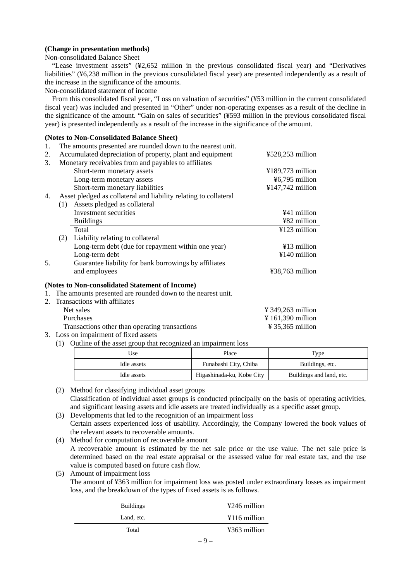## **(Change in presentation methods)**

Non-consolidated Balance Sheet

"Lease investment assets" (¥2,652 million in the previous consolidated fiscal year) and "Derivatives liabilities" (¥6,238 million in the previous consolidated fiscal year) are presented independently as a result of the increase in the significance of the amounts.

Non-consolidated statement of income

From this consolidated fiscal year, "Loss on valuation of securities" (¥53 million in the current consolidated fiscal year) was included and presented in "Other" under non-operating expenses as a result of the decline in the significance of the amount. "Gain on sales of securities" (¥593 million in the previous consolidated fiscal year) is presented independently as a result of the increase in the significance of the amount.

# **(Notes to Non-Consolidated Balance Sheet)**

|    |     | (Trotes to Tron-Consondated Dalance Sheet)                       |                            |
|----|-----|------------------------------------------------------------------|----------------------------|
| 1. |     | The amounts presented are rounded down to the nearest unit.      |                            |
| 2. |     | Accumulated depreciation of property, plant and equipment        | $\text{\#528,253}$ million |
| 3. |     | Monetary receivables from and payables to affiliates             |                            |
|    |     | Short-term monetary assets                                       | $¥189,773$ million         |
|    |     | Long-term monetary assets                                        | ¥6,795 million             |
|    |     | Short-term monetary liabilities                                  | ¥147,742 million           |
| 4. |     | Asset pledged as collateral and liability relating to collateral |                            |
|    | (1) | Assets pledged as collateral                                     |                            |
|    |     | Investment securities                                            | ¥41 million                |
|    |     | <b>Buildings</b>                                                 | ¥82 million                |
|    |     | Total                                                            | ¥123 million               |
|    | (2) | Liability relating to collateral                                 |                            |
|    |     | Long-term debt (due for repayment within one year)               | $\angle 13$ million        |
|    |     | Long-term debt                                                   | $\text{\#}140$ million     |
| 5. |     | Guarantee liability for bank borrowings by affiliates            |                            |
|    |     | and employees                                                    | ¥38,763 million            |
|    |     | (Notes to Non-consolidated Statement of Income)                  |                            |
| 1. |     | The amounts presented are rounded down to the nearest unit.      |                            |
|    |     | 2. Transactions with affiliates                                  |                            |

| $\mathcal{L}$ . Transactions with animates     |                               |
|------------------------------------------------|-------------------------------|
| Net sales                                      | $\frac{1}{2}$ 349.263 million |
| <b>Purchases</b>                               | $\frac{1}{2}$ 161.390 million |
| Transactions other than operating transactions | $\frac{1}{2}$ 35.365 million  |
| 3. Loss on impairment of fixed assets          |                               |

(1) Outline of the asset group that recognized an impairment loss

| Use         | Type<br>Place             |                          |
|-------------|---------------------------|--------------------------|
| Idle assets | Funabashi City, Chiba     | Buildings, etc.          |
| Idle assets | Higashinada-ku, Kobe City | Buildings and land, etc. |

- (2) Method for classifying individual asset groups Classification of individual asset groups is conducted principally on the basis of operating activities, and significant leasing assets and idle assets are treated individually as a specific asset group.
- (3) Developments that led to the recognition of an impairment loss Certain assets experienced loss of usability. Accordingly, the Company lowered the book values of the relevant assets to recoverable amounts.
- (4) Method for computation of recoverable amount A recoverable amount is estimated by the net sale price or the use value. The net sale price is determined based on the real estate appraisal or the assessed value for real estate tax, and the use value is computed based on future cash flow.
- (5) Amount of impairment loss

The amount of ¥363 million for impairment loss was posted under extraordinary losses as impairment loss, and the breakdown of the types of fixed assets is as follows.

| <b>Buildings</b> |   | ¥246 million                   |
|------------------|---|--------------------------------|
| Land, etc.       |   | $\text{\#}116 \text{ million}$ |
| Total            |   | ¥363 million                   |
|                  | ⌒ |                                |